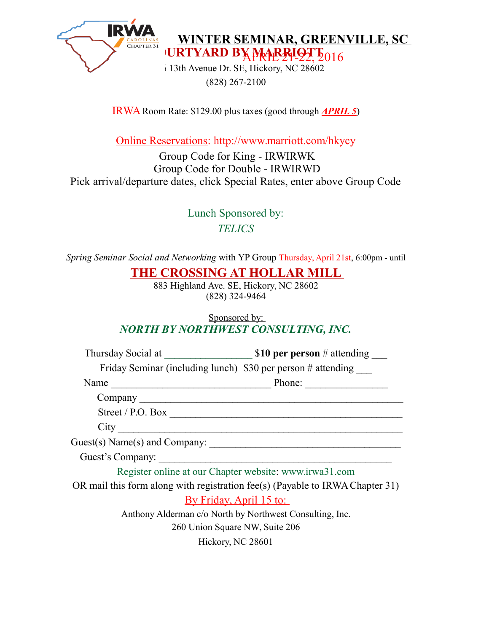

URTYARD BY MARRIOTT<sub>016</sub> **WINTER SEMINAR, GREENVILLE, SC** 

 $\frac{1}{1}$ 13th Avenue Dr. SE, Hickory, NC 28602 (828) 267-2100

IRWA Room Rate: \$129.00 plus taxes (good through *APRIL 5*)

Online Reservations: http://www.marriott.com/hkycy

Group Code for King - IRWIRWK Group Code for Double - IRWIRWD Pick arrival/departure dates, click Special Rates, enter above Group Code

> Lunch Sponsored by: *TELICS*

*Spring Seminar Social and Networking* with YP Group Thursday, April 21st, 6:00pm - until

## **THE CROSSING AT HOLLAR MILL**

883 Highland Ave. SE, Hickory, NC 28602 (828) 324-9464

## Sponsored by: *NORTH BY NORTHWEST CONSULTING, INC.*

| Friday Seminar (including lunch) \$30 per person # attending                  |        |
|-------------------------------------------------------------------------------|--------|
| Name                                                                          | Phone: |
|                                                                               |        |
| Street / P.O. Box $\overline{\qquad \qquad }$                                 |        |
| City                                                                          |        |
|                                                                               |        |
| Guest's Company:                                                              |        |
| Register online at our Chapter website: www.irwa31.com                        |        |
| OR mail this form along with registration fee(s) (Payable to IRWA Chapter 31) |        |
| <u>By Friday, April 15 to:</u>                                                |        |
| Anthony Alderman c/o North by Northwest Consulting, Inc.                      |        |
| 260 Union Square NW, Suite 206                                                |        |
| Hickory, NC 28601                                                             |        |
|                                                                               |        |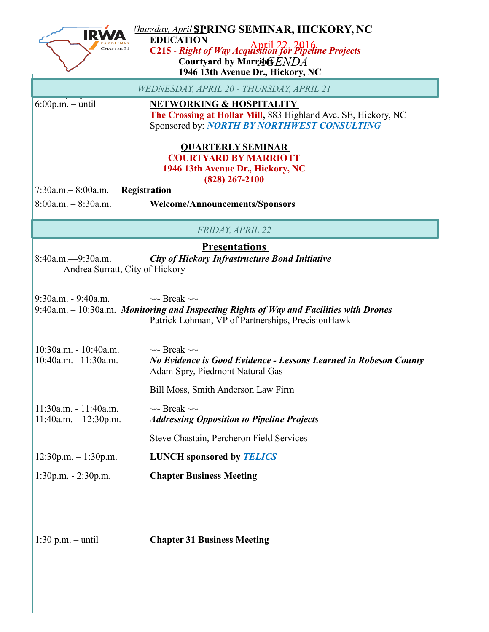| CHAPTER 31                                                                                                                                | <b>Thursday, April SPRING SEMINAR, HICKORY, NC</b><br><b>EDUCATION</b><br>April 22, 2016<br>C215 - Right of Way Acquisition for Pipeline Projects                     |  |
|-------------------------------------------------------------------------------------------------------------------------------------------|-----------------------------------------------------------------------------------------------------------------------------------------------------------------------|--|
| Courtyard by Marriof ENDA<br>1946 13th Avenue Dr., Hickory, NC                                                                            |                                                                                                                                                                       |  |
| WEDNESDAY, APRIL 20 - THURSDAY, APRIL 21                                                                                                  |                                                                                                                                                                       |  |
| $6:00p.m. - until$                                                                                                                        | <b>NETWORKING &amp; HOSPITALITY</b><br>The Crossing at Hollar Mill, 883 Highland Ave. SE, Hickory, NC<br>Sponsored by: NORTH BY NORTHWEST CONSULTING                  |  |
| <b>QUARTERLY SEMINAR</b><br><b>COURTYARD BY MARRIOTT</b><br>1946 13th Avenue Dr., Hickory, NC<br>$(828) 267 - 2100$                       |                                                                                                                                                                       |  |
| $7:30a.m. - 8:00a.m.$<br>Registration                                                                                                     |                                                                                                                                                                       |  |
| $8:00a.m. - 8:30a.m.$                                                                                                                     | <b>Welcome/Announcements/Sponsors</b>                                                                                                                                 |  |
| <b>FRIDAY, APRIL 22</b>                                                                                                                   |                                                                                                                                                                       |  |
| <b>Presentations</b><br>$8:40a.m. - 9:30a.m.$<br><b>City of Hickory Infrastructure Bond Initiative</b><br>Andrea Surratt, City of Hickory |                                                                                                                                                                       |  |
| $9:30a.m. - 9:40a.m.$                                                                                                                     | $\sim$ Break $\sim$<br>$9:40a.m. - 10:30a.m.$ Monitoring and Inspecting Rights of Way and Facilities with Drones<br>Patrick Lohman, VP of Partnerships, PrecisionHawk |  |
| $10:30a.m. - 10:40a.m.$<br>$10:40a.m - 11:30a.m.$                                                                                         | $\sim$ Break $\sim$<br>No Evidence is Good Evidence - Lessons Learned in Robeson County<br>Adam Spry, Piedmont Natural Gas                                            |  |
|                                                                                                                                           | Bill Moss, Smith Anderson Law Firm                                                                                                                                    |  |
| $11:30a.m. - 11:40a.m.$<br>$11:40a.m. - 12:30p.m.$                                                                                        | $\sim$ Break $\sim$<br><b>Addressing Opposition to Pipeline Projects</b>                                                                                              |  |
|                                                                                                                                           | Steve Chastain, Percheron Field Services                                                                                                                              |  |
| $12:30p.m. - 1:30p.m.$                                                                                                                    | <b>LUNCH</b> sponsored by <b>TELICS</b>                                                                                                                               |  |
| 1:30p.m. - 2:30p.m.                                                                                                                       | <b>Chapter Business Meeting</b>                                                                                                                                       |  |
| $1:30$ p.m. - until                                                                                                                       | <b>Chapter 31 Business Meeting</b>                                                                                                                                    |  |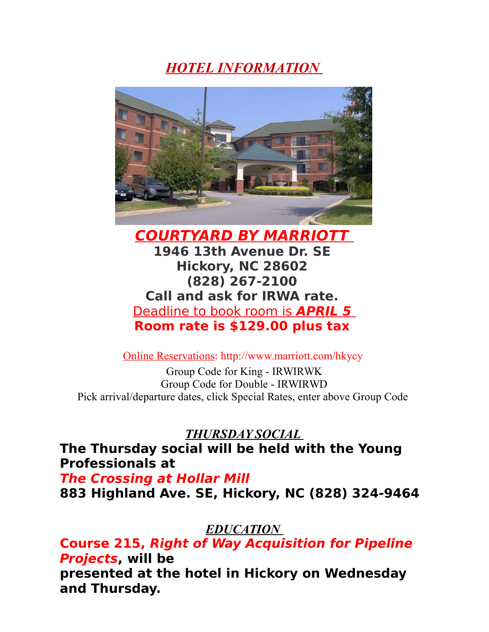*HOTEL INFORMATION* 



**COURTYARD BY MARRIOTT 1946 13th Avenue Dr. SE Hickory, NC 28602 (828) 267-2100 Call and ask for IRWA rate.**  Deadline to book room is **APRIL 5 Room rate is \$129.00 plus tax** 

Online Reservations: http://www.marriott.com/hkycy

Group Code for King - IRWIRWK Group Code for Double - IRWIRWD Pick arrival/departure dates, click Special Rates, enter above Group Code

*THURSDAY SOCIAL* 

**The Thursday social will be held with the Young Professionals at** 

**The Crossing at Hollar Mill 883 Highland Ave. SE, Hickory, NC (828) 324-9464** 

## *EDUCATION*

**Course 215, Right of Way Acquisition for Pipeline Projects, will be presented at the hotel in Hickory on Wednesday and Thursday.**